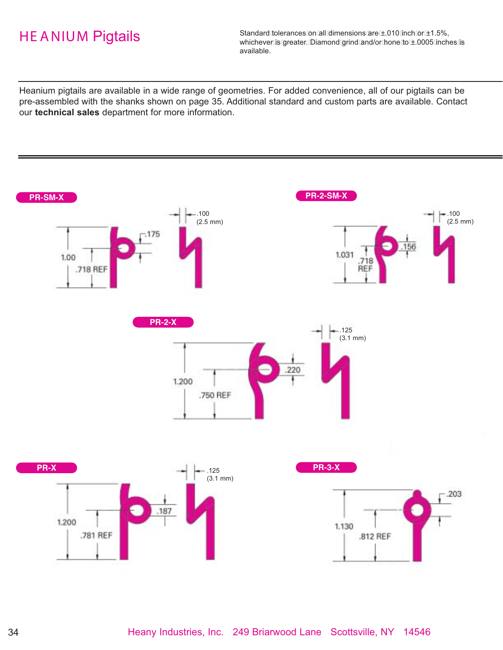Standard tolerances on all dimensions are ±.010 inch or ±1.5%, whichever is greater. Diamond grind and/or hone to ±.0005 inches is available.

Heanium pigtails are available in a wide range of geometries. For added convenience, all of our pigtails can be pre-assembled with the shanks shown on page 35. Additional standard and custom parts are available. Contact our **technical sales** department for more information.